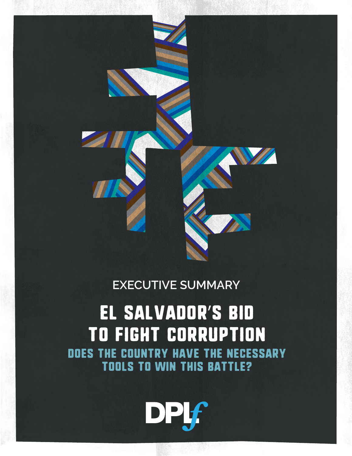

#### **EXECUTIVE SUMMARY**

# EL SALVADOR'S BID TO FIGHT CORRUPTION DOES THE COUNTRY HAVE THE NECESSARY TOOLS TO WIN THIS BATTLE?

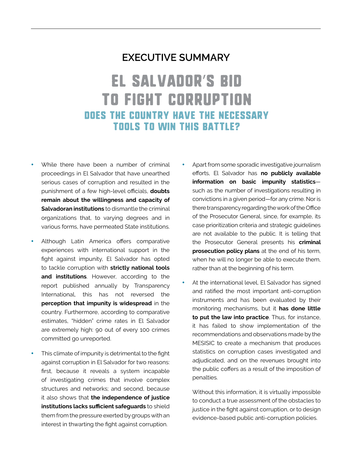#### **EXECUTIVE SUMMARY**

### **EL SALVADOR'S BID TO FIGHT CORRUPTION** DOES THE COUNTRY HAVE THE NECESSARY **TOOLS TO WIN THIS BATTLE?**

- While there have been a number of criminal proceedings in El Salvador that have unearthed serious cases of corruption and resulted in the punishment of a few high-level officials, **doubts remain about the willingness and capacity of Salvadoran institutions** to dismantle the criminal organizations that, to varying degrees and in various forms, have permeated State institutions.
- Although Latin America offers comparative experiences with international support in the fight against impunity, El Salvador has opted to tackle corruption with **strictly national tools and institutions**. However, according to the report published annually by Transparency International, this has not reversed the **perception that impunity is widespread** in the country. Furthermore, according to comparative estimates, "hidden" crime rates in El Salvador are extremely high: 90 out of every 100 crimes committed go unreported.
- This climate of impunity is detrimental to the fight against corruption in El Salvador for two reasons: first, because it reveals a system incapable of investigating crimes that involve complex structures and networks; and second, because it also shows that **the independence of justice institutions lacks sufficient safeguards** to shield them from the pressure exerted by groups with an interest in thwarting the fight against corruption.
- Apart from some sporadic investigative journalism efforts, El Salvador has **no publicly available information on basic impunity statistics** such as the number of investigations resulting in convictions in a given period—for any crime. Nor is there transparency regarding the work of the Office of the Prosecutor General, since, for example, its case prioritization criteria and strategic guidelines are not available to the public. It is telling that the Prosecutor General presents his **criminal prosecution policy plans** at the end of his term, when he will no longer be able to execute them, rather than at the beginning of his term.
- At the international level, El Salvador has signed and ratified the most important anti-corruption instruments and has been evaluated by their monitoring mechanisms, but it **has done little to put the law into practice**. Thus, for instance, it has failed to show implementation of the recommendations and observations made by the MESISIC to create a mechanism that produces statistics on corruption cases investigated and adjudicated, and on the revenues brought into the public coffers as a result of the imposition of penalties.

Without this information, it is virtually impossible to conduct a true assessment of the obstacles to justice in the fight against corruption, or to design evidence-based public anti-corruption policies.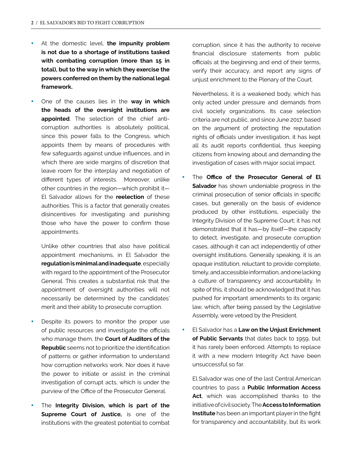- At the domestic level, the impunity problem **is not due to a shortage of institutions tasked with combating corruption (more than 15 in total), but to the way in which they exercise the powers conferred on them by the national legal framework.**
- One of the causes lies in the way in which **the heads of the oversight institutions are appointed**. The selection of the chief anticorruption authorities is absolutely political, since this power falls to the Congress, which appoints them by means of procedures with few safeguards against undue influences, and in which there are wide margins of discretion that leave room for the interplay and negotiation of different types of interests. Moreover, unlike other countries in the region—which prohibit it— El Salvador allows for the **reelection** of these authorities. This is a factor that generally creates disincentives for investigating and punishing those who have the power to confirm those appointments.

Unlike other countries that also have political appointment mechanisms, in El Salvador the **regulation is minimal and inadequate**, especially with regard to the appointment of the Prosecutor General. This creates a substantial risk that the appointment of oversight authorities will not necessarily be determined by the candidates' merit and their ability to prosecute corruption.

- Despite its powers to monitor the proper use of public resources and investigate the officials who manage them, the **Court of Auditors of the Republic** seems not to prioritize the identification of patterns or gather information to understand how corruption networks work. Nor does it have the power to initiate or assist in the criminal investigation of corrupt acts, which is under the purview of the Office of the Prosecutor General.
- The **Integrity Division, which is part of the Supreme Court of Justice,** is one of the institutions with the greatest potential to combat

corruption, since it has the authority to receive financial disclosure statements from public officials at the beginning and end of their terms, verify their accuracy, and report any signs of unjust enrichment to the Plenary of the Court.

Nevertheless, it is a weakened body, which has only acted under pressure and demands from civil society organizations. Its case selection criteria are not public, and since June 2017, based on the argument of protecting the reputation rights of officials under investigation, it has kept all its audit reports confidential, thus keeping citizens from knowing about and demanding the investigation of cases with major social impact.

- The **Office of the Prosecutor General of El Salvador** has shown undeniable progress in the criminal prosecution of senior officials in specific cases, but generally on the basis of evidence produced by other institutions, especially the Integrity Division of the Supreme Court; it has not demonstrated that it has—by itself—the capacity to detect, investigate, and prosecute corruption cases, although it can act independently of other oversight institutions. Generally speaking, it is an opaque institution, reluctant to provide complete, timely, and accessible information, and one lacking a culture of transparency and accountability. In spite of this, it should be acknowledged that it has pushed for important amendments to its organic law, which, after being passed by the Legislative Assembly, were vetoed by the President.
- **El Salvador has a Law on the Unjust Enrichment of Public Servants** that dates back to 1959, but it has rarely been enforced. Attempts to replace it with a new modern Integrity Act have been unsuccessful so far.

El Salvador was one of the last Central American countries to pass a **Public Information Access**  Act, which was accomplished thanks to the initiative of civil society. The **Access to Information Institute** has been an important player in the fight for transparency and accountability, but its work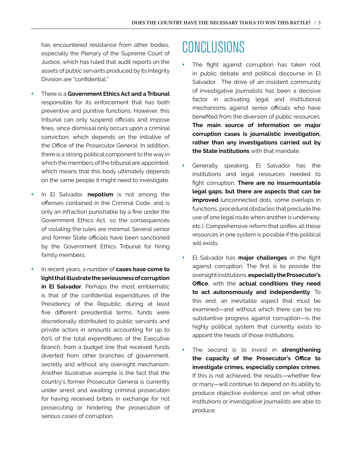has encountered resistance from other bodies, especially the Plenary of the Supreme Court of Justice, which has ruled that audit reports on the assets of public servants produced by its Integrity Division are "confidential."

- **There is a Government Ethics Act and a Tribunal** responsible for its enforcement that has both preventive and punitive functions. However, this tribunal can only suspend officials and impose fines, since dismissal only occurs upon a criminal conviction, which depends on the initiative of the Office of the Prosecutor General. In addition, there is a strong political component to the way in which the members of the tribunal are appointed, which means that this body ultimately depends on the same people it might need to investigate.
- In El Salvador, **nepotism** is not among the offenses contained in the Criminal Code, and is only an infraction punishable by a fine under the Government Ethics Act, so the consequences of violating the rules are minimal. Several senior and former State officials have been sanctioned by the Government Ethics Tribunal for hiring family members.
- In recent years, a number of **cases have come to light that illustrate the seriousness of corruption in El Salvador**. Perhaps the most emblematic is that of the confidential expenditures of the Presidency of the Republic: during at least five different presidential terms, funds were discretionally distributed to public servants and private actors in amounts accounting for up to 60% of the total expenditures of the Executive Branch, from a budget line that received funds diverted from other branches of government, secretly and without any oversight mechanism. Another illustrative example is the fact that the country's former Prosecutor General is currently under arrest and awaiting criminal prosecution for having received bribes in exchange for not prosecuting or hindering the prosecution of serious cases of corruption.

## CONCLUSIONS

- The fight against corruption has taken root in public debate and political discourse in El Salvador. The drive of an insistent community of investigative journalists has been a decisive factor in activating legal and institutional mechanisms against senior officials who have benefited from the diversion of public resources. **The main source of information on major corruption cases is journalistic investigation, rather than any investigations carried out by the State institutions** with that mandate.
- Generally speaking. El Salvador has the institutions and legal resources needed to fight corruption. **There are no insurmountable legal gaps, but there are aspects that can be improved** (unconnected dots, some overlaps in functions, procedural obstacles that preclude the use of one legal route when another is underway, etc.). Comprehensive reform that unifies all these resources in one system is possible if the political will exists.
- El Salvador has **major challenges** in the fight against corruption. The first is to provide the oversight institutions, **especially the Prosecutor's Office**, with the **actual conditions they need to act autonomously and independently**. To this end, an inevitable aspect that must be examined—and without which there can be no substantive progress against corruption—is the highly political system that currently exists to appoint the heads of those institutions.
- The second is to invest in **strengthening the capacity of the Prosecutor's Office to investigate crimes, especially complex crimes**. If this is not achieved, the results—whether few or many—will continue to depend on its ability to produce objective evidence, and on what other institutions or investigative journalists are able to produce.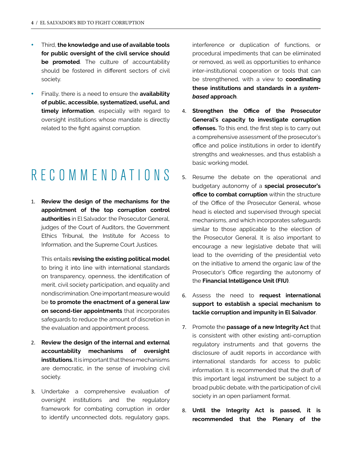- Third, the knowledge and use of available tools **for public oversight of the civil service should be promoted**. The culture of accountability should be fostered in different sectors of civil society.
- Finally, there is a need to ensure the **availability of public, accessible, systematized, useful, and timely information**, especially with regard to oversight institutions whose mandate is directly related to the fight against corruption.

# RECOMMENDATIONS

1. **Review the design of the mechanisms for the appointment of the top corruption control authorities** in El Salvador: the Prosecutor General, judges of the Court of Auditors, the Government Ethics Tribunal, the Institute for Access to Information, and the Supreme Court Justices.

This entails **revising the existing political model** to bring it into line with international standards on transparency, openness, the identification of merit, civil society participation, and equality and nondiscrimination. One important measure would be **to promote the enactment of a general law on second-tier appointments** that incorporates safeguards to reduce the amount of discretion in the evaluation and appointment process.

- 2. **Review the design of the internal and external accountability mechanisms of oversight institutions.** It is important that these mechanisms are democratic, in the sense of involving civil society.
- 3. Undertake a comprehensive evaluation of oversight institutions and the regulatory framework for combating corruption in order to identify unconnected dots, regulatory gaps,

interference or duplication of functions, or procedural impediments that can be eliminated or removed, as well as opportunities to enhance inter-institutional cooperation or tools that can be strengthened, with a view to **coordinating these institutions and standards in a** *systembased* **approach**.

- 4. **Strengthen the Office of the Prosecutor General's capacity to investigate corruption offenses.** To this end, the first step is to carry out a comprehensive assessment of the prosecutor's office and police institutions in order to identify strengths and weaknesses, and thus establish a basic working model.
- 5. Resume the debate on the operational and budgetary autonomy of a **special prosecutor's office to combat corruption** within the structure of the Office of the Prosecutor General, whose head is elected and supervised through special mechanisms, and which incorporates safeguards similar to those applicable to the election of the Prosecutor General. It is also important to encourage a new legislative debate that will lead to the overriding of the presidential veto on the initiative to amend the organic law of the Prosecutor's Office regarding the autonomy of the **Financial Intelligence Unit (FIU)**.
- 6. Assess the need to **request international support to establish a special mechanism to tackle corruption and impunity in El Salvador**.
- 7. Promote the **passage of a new Integrity Act** that is consistent with other existing anti-corruption regulatory instruments and that governs the disclosure of audit reports in accordance with international standards for access to public information. It is recommended that the draft of this important legal instrument be subject to a broad public debate, with the participation of civil society in an open parliament format.
- 8. **Until the Integrity Act is passed, it is recommended that the Plenary of the**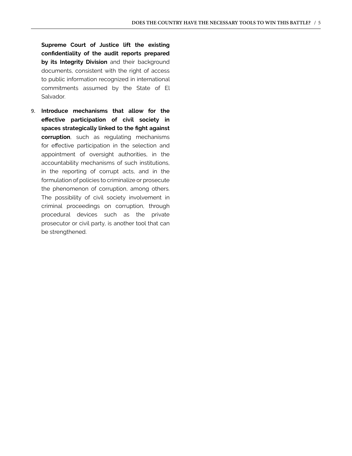**Supreme Court of Justice lift the existing confidentiality of the audit reports prepared by its Integrity Division** and their background documents, consistent with the right of access to public information recognized in international commitments assumed by the State of El Salvador.

9. **Introduce mechanisms that allow for the effective participation of civil society in spaces strategically linked to the fight against corruption**, such as regulating mechanisms for effective participation in the selection and appointment of oversight authorities, in the accountability mechanisms of such institutions, in the reporting of corrupt acts, and in the formulation of policies to criminalize or prosecute the phenomenon of corruption, among others. The possibility of civil society involvement in criminal proceedings on corruption, through procedural devices such as the private prosecutor or civil party, is another tool that can be strengthened.